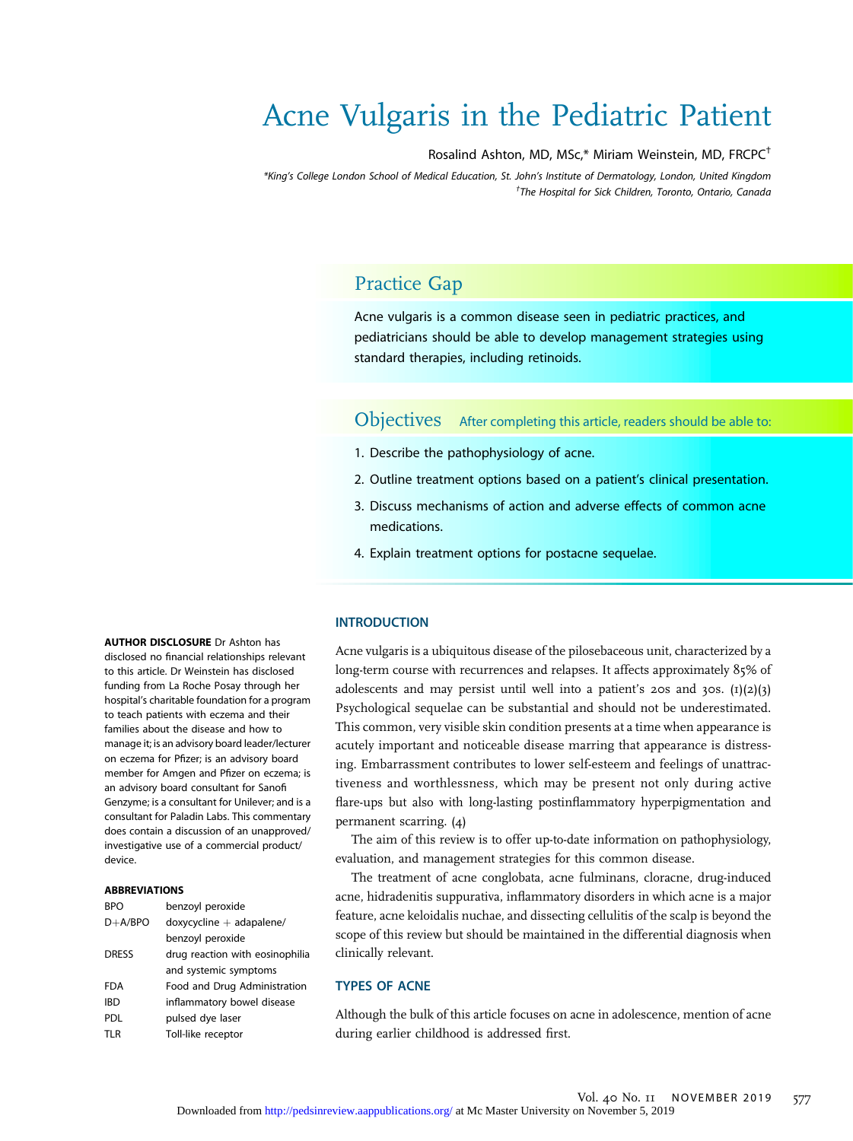# Acne Vulgaris in the Pediatric Patient

#### Rosalind Ashton, MD, MSc,\* Miriam Weinstein, MD, FRCPC†

\*King's College London School of Medical Education, St. John's Institute of Dermatology, London, United Kingdom † The Hospital for Sick Children, Toronto, Ontario, Canada

# Practice Gap

Acne vulgaris is a common disease seen in pediatric practices, and pediatricians should be able to develop management strategies using standard therapies, including retinoids.

Objectives After completing this article, readers should be able to:

- 1. Describe the pathophysiology of acne.
- 2. Outline treatment options based on a patient's clinical presentation.
- 3. Discuss mechanisms of action and adverse effects of common acne medications.
- 4. Explain treatment options for postacne sequelae.

#### **INTRODUCTION**

Acne vulgaris is a ubiquitous disease of the pilosebaceous unit, characterized by a long-term course with recurrences and relapses. It affects approximately 85% of adolescents and may persist until well into a patient's 20s and 30s.  $(I)(2)(3)$ Psychological sequelae can be substantial and should not be underestimated. This common, very visible skin condition presents at a time when appearance is acutely important and noticeable disease marring that appearance is distressing. Embarrassment contributes to lower self-esteem and feelings of unattractiveness and worthlessness, which may be present not only during active flare-ups but also with long-lasting postinflammatory hyperpigmentation and permanent scarring. (4)

The aim of this review is to offer up-to-date information on pathophysiology, evaluation, and management strategies for this common disease.

The treatment of acne conglobata, acne fulminans, cloracne, drug-induced acne, hidradenitis suppurativa, inflammatory disorders in which acne is a major feature, acne keloidalis nuchae, and dissecting cellulitis of the scalp is beyond the scope of this review but should be maintained in the differential diagnosis when clinically relevant.

#### TYPES OF ACNE

Although the bulk of this article focuses on acne in adolescence, mention of acne during earlier childhood is addressed first.

AUTHOR DISCLOSURE Dr Ashton has disclosed no financial relationships relevant to this article. Dr Weinstein has disclosed funding from La Roche Posay through her hospital's charitable foundation for a program to teach patients with eczema and their families about the disease and how to manage it; is an advisory board leader/lecturer on eczema for Pfizer; is an advisory board member for Amgen and Pfizer on eczema; is an advisory board consultant for Sanofi Genzyme; is a consultant for Unilever; and is a consultant for Paladin Labs. This commentary does contain a discussion of an unapproved/ investigative use of a commercial product/ device.

#### ABBREVIATIONS

| <b>RPO</b>   | benzoyl peroxide                |
|--------------|---------------------------------|
| $D+A/BPO$    | $d$ oxycycline $+$ adapalene/   |
|              | benzoyl peroxide                |
| <b>DRESS</b> | drug reaction with eosinophilia |
|              | and systemic symptoms           |
| FDA          | Food and Drug Administration    |
| <b>IBD</b>   | inflammatory bowel disease      |
| <b>PDL</b>   | pulsed dye laser                |
| TLR          | Toll-like receptor              |
|              |                                 |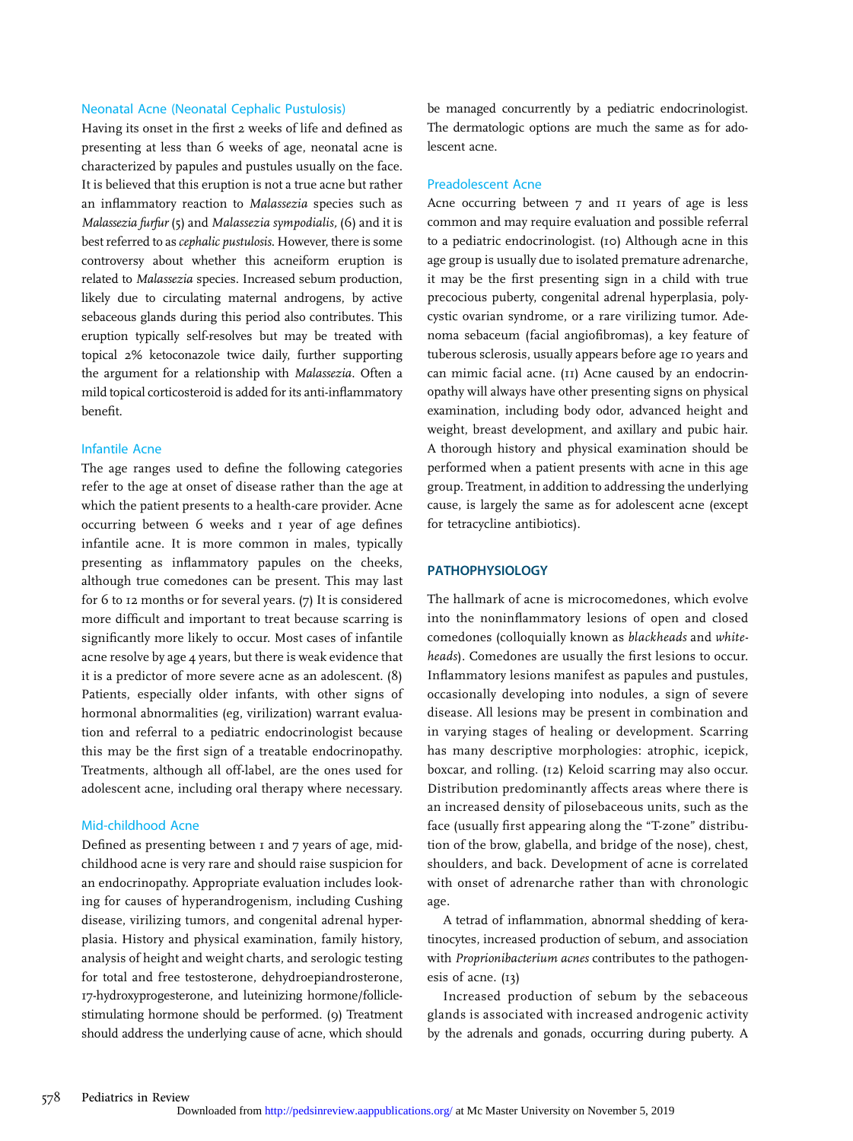#### Neonatal Acne (Neonatal Cephalic Pustulosis)

Having its onset in the first 2 weeks of life and defined as presenting at less than 6 weeks of age, neonatal acne is characterized by papules and pustules usually on the face. It is believed that this eruption is not a true acne but rather an inflammatory reaction to Malassezia species such as Malassezia furfur (5) and Malassezia sympodialis, (6) and it is best referred to as cephalic pustulosis. However, there is some controversy about whether this acneiform eruption is related to Malassezia species. Increased sebum production, likely due to circulating maternal androgens, by active sebaceous glands during this period also contributes. This eruption typically self-resolves but may be treated with topical 2% ketoconazole twice daily, further supporting the argument for a relationship with Malassezia. Often a mild topical corticosteroid is added for its anti-inflammatory benefit.

#### Infantile Acne

The age ranges used to define the following categories refer to the age at onset of disease rather than the age at which the patient presents to a health-care provider. Acne occurring between 6 weeks and 1 year of age defines infantile acne. It is more common in males, typically presenting as inflammatory papules on the cheeks, although true comedones can be present. This may last for 6 to 12 months or for several years. (7) It is considered more difficult and important to treat because scarring is significantly more likely to occur. Most cases of infantile acne resolve by age 4 years, but there is weak evidence that it is a predictor of more severe acne as an adolescent. (8) Patients, especially older infants, with other signs of hormonal abnormalities (eg, virilization) warrant evaluation and referral to a pediatric endocrinologist because this may be the first sign of a treatable endocrinopathy. Treatments, although all off-label, are the ones used for adolescent acne, including oral therapy where necessary.

#### Mid-childhood Acne

Defined as presenting between 1 and 7 years of age, midchildhood acne is very rare and should raise suspicion for an endocrinopathy. Appropriate evaluation includes looking for causes of hyperandrogenism, including Cushing disease, virilizing tumors, and congenital adrenal hyperplasia. History and physical examination, family history, analysis of height and weight charts, and serologic testing for total and free testosterone, dehydroepiandrosterone, 17-hydroxyprogesterone, and luteinizing hormone/folliclestimulating hormone should be performed. (9) Treatment should address the underlying cause of acne, which should

be managed concurrently by a pediatric endocrinologist. The dermatologic options are much the same as for adolescent acne.

#### Preadolescent Acne

Acne occurring between 7 and 11 years of age is less common and may require evaluation and possible referral to a pediatric endocrinologist. (10) Although acne in this age group is usually due to isolated premature adrenarche, it may be the first presenting sign in a child with true precocious puberty, congenital adrenal hyperplasia, polycystic ovarian syndrome, or a rare virilizing tumor. Adenoma sebaceum (facial angiofibromas), a key feature of tuberous sclerosis, usually appears before age 10 years and can mimic facial acne. (11) Acne caused by an endocrinopathy will always have other presenting signs on physical examination, including body odor, advanced height and weight, breast development, and axillary and pubic hair. A thorough history and physical examination should be performed when a patient presents with acne in this age group. Treatment, in addition to addressing the underlying cause, is largely the same as for adolescent acne (except for tetracycline antibiotics).

#### PATHOPHYSIOLOGY

The hallmark of acne is microcomedones, which evolve into the noninflammatory lesions of open and closed comedones (colloquially known as blackheads and whiteheads). Comedones are usually the first lesions to occur. Inflammatory lesions manifest as papules and pustules, occasionally developing into nodules, a sign of severe disease. All lesions may be present in combination and in varying stages of healing or development. Scarring has many descriptive morphologies: atrophic, icepick, boxcar, and rolling. (12) Keloid scarring may also occur. Distribution predominantly affects areas where there is an increased density of pilosebaceous units, such as the face (usually first appearing along the "T-zone" distribution of the brow, glabella, and bridge of the nose), chest, shoulders, and back. Development of acne is correlated with onset of adrenarche rather than with chronologic age.

A tetrad of inflammation, abnormal shedding of keratinocytes, increased production of sebum, and association with Proprionibacterium acnes contributes to the pathogenesis of acne. (13)

Increased production of sebum by the sebaceous glands is associated with increased androgenic activity by the adrenals and gonads, occurring during puberty. A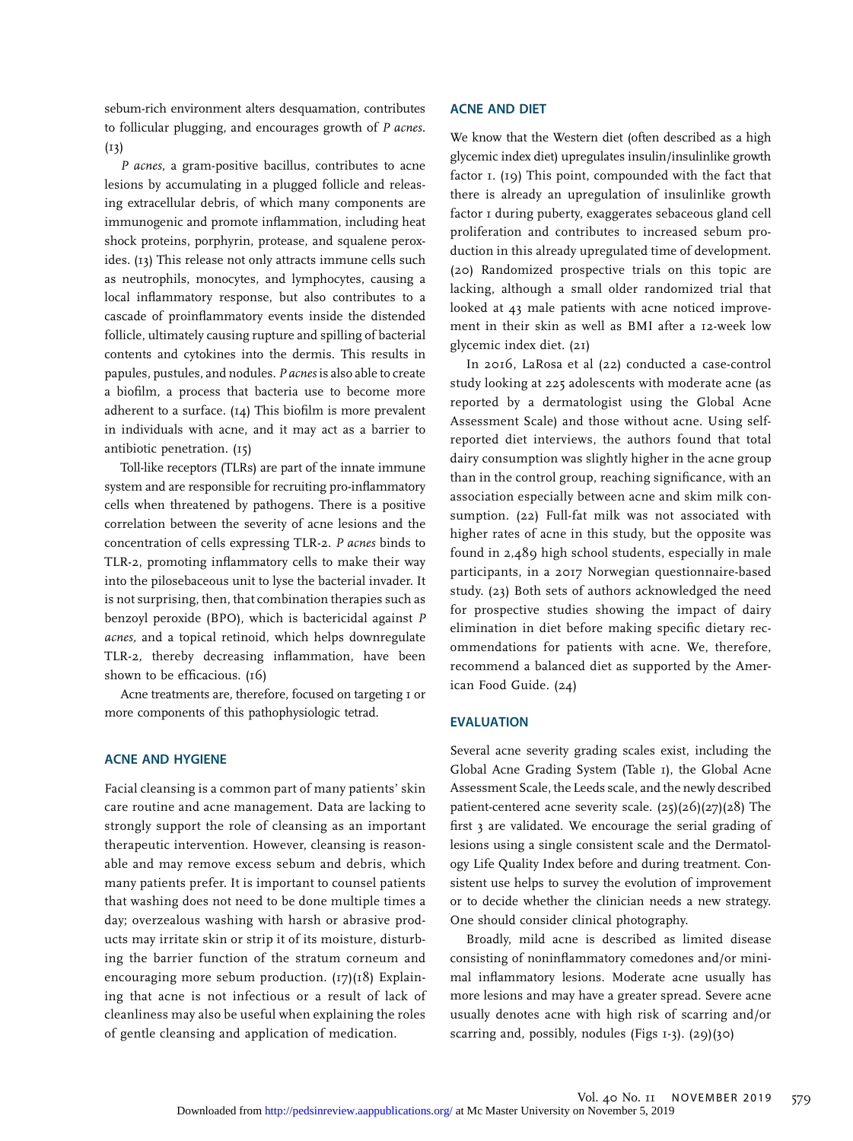sebum-rich environment alters desquamation, contributes to follicular plugging, and encourages growth of P acnes.  $(13)$ 

P acnes, a gram-positive bacillus, contributes to acne lesions by accumulating in a plugged follicle and releasing extracellular debris, of which many components are immunogenic and promote inflammation, including heat shock proteins, porphyrin, protease, and squalene peroxides. (13) This release not only attracts immune cells such as neutrophils, monocytes, and lymphocytes, causing a local inflammatory response, but also contributes to a cascade of proinflammatory events inside the distended follicle, ultimately causing rupture and spilling of bacterial contents and cytokines into the dermis. This results in papules, pustules, and nodules. P acnes is also able to create a biofilm, a process that bacteria use to become more adherent to a surface.  $(I_4)$  This biofilm is more prevalent in individuals with acne, and it may act as a barrier to antibiotic penetration. (15)

Toll-like receptors (TLRs) are part of the innate immune system and are responsible for recruiting pro-inflammatory cells when threatened by pathogens. There is a positive correlation between the severity of acne lesions and the concentration of cells expressing TLR-2. P acnes binds to TLR-2, promoting inflammatory cells to make their way into the pilosebaceous unit to lyse the bacterial invader. It is not surprising, then, that combination therapies such as benzoyl peroxide (BPO), which is bactericidal against P acnes, and a topical retinoid, which helps downregulate TLR-2, thereby decreasing inflammation, have been shown to be efficacious. (16)

Acne treatments are, therefore, focused on targeting 1 or more components of this pathophysiologic tetrad.

#### ACNE AND HYGIENE

Facial cleansing is a common part of many patients' skin care routine and acne management. Data are lacking to strongly support the role of cleansing as an important therapeutic intervention. However, cleansing is reasonable and may remove excess sebum and debris, which many patients prefer. It is important to counsel patients that washing does not need to be done multiple times a day; overzealous washing with harsh or abrasive products may irritate skin or strip it of its moisture, disturbing the barrier function of the stratum corneum and encouraging more sebum production. (17)(18) Explaining that acne is not infectious or a result of lack of cleanliness may also be useful when explaining the roles of gentle cleansing and application of medication.

#### ACNE AND DIET

We know that the Western diet (often described as a high glycemic index diet) upregulates insulin/insulinlike growth factor 1. (19) This point, compounded with the fact that there is already an upregulation of insulinlike growth factor 1 during puberty, exaggerates sebaceous gland cell proliferation and contributes to increased sebum production in this already upregulated time of development. (20) Randomized prospective trials on this topic are lacking, although a small older randomized trial that looked at 43 male patients with acne noticed improvement in their skin as well as BMI after a 12-week low glycemic index diet. (21)

In 2016, LaRosa et al (22) conducted a case-control study looking at 225 adolescents with moderate acne (as reported by a dermatologist using the Global Acne Assessment Scale) and those without acne. Using selfreported diet interviews, the authors found that total dairy consumption was slightly higher in the acne group than in the control group, reaching significance, with an association especially between acne and skim milk consumption. (22) Full-fat milk was not associated with higher rates of acne in this study, but the opposite was found in 2,489 high school students, especially in male participants, in a 2017 Norwegian questionnaire-based study. (23) Both sets of authors acknowledged the need for prospective studies showing the impact of dairy elimination in diet before making specific dietary recommendations for patients with acne. We, therefore, recommend a balanced diet as supported by the American Food Guide. (24)

#### EVALUATION

Several acne severity grading scales exist, including the Global Acne Grading System (Table 1), the Global Acne Assessment Scale, the Leeds scale, and the newly described patient-centered acne severity scale. (25)(26)(27)(28) The first 3 are validated. We encourage the serial grading of lesions using a single consistent scale and the Dermatology Life Quality Index before and during treatment. Consistent use helps to survey the evolution of improvement or to decide whether the clinician needs a new strategy. One should consider clinical photography.

Broadly, mild acne is described as limited disease consisting of noninflammatory comedones and/or minimal inflammatory lesions. Moderate acne usually has more lesions and may have a greater spread. Severe acne usually denotes acne with high risk of scarring and/or scarring and, possibly, nodules (Figs  $1-3$ ). (29)(30)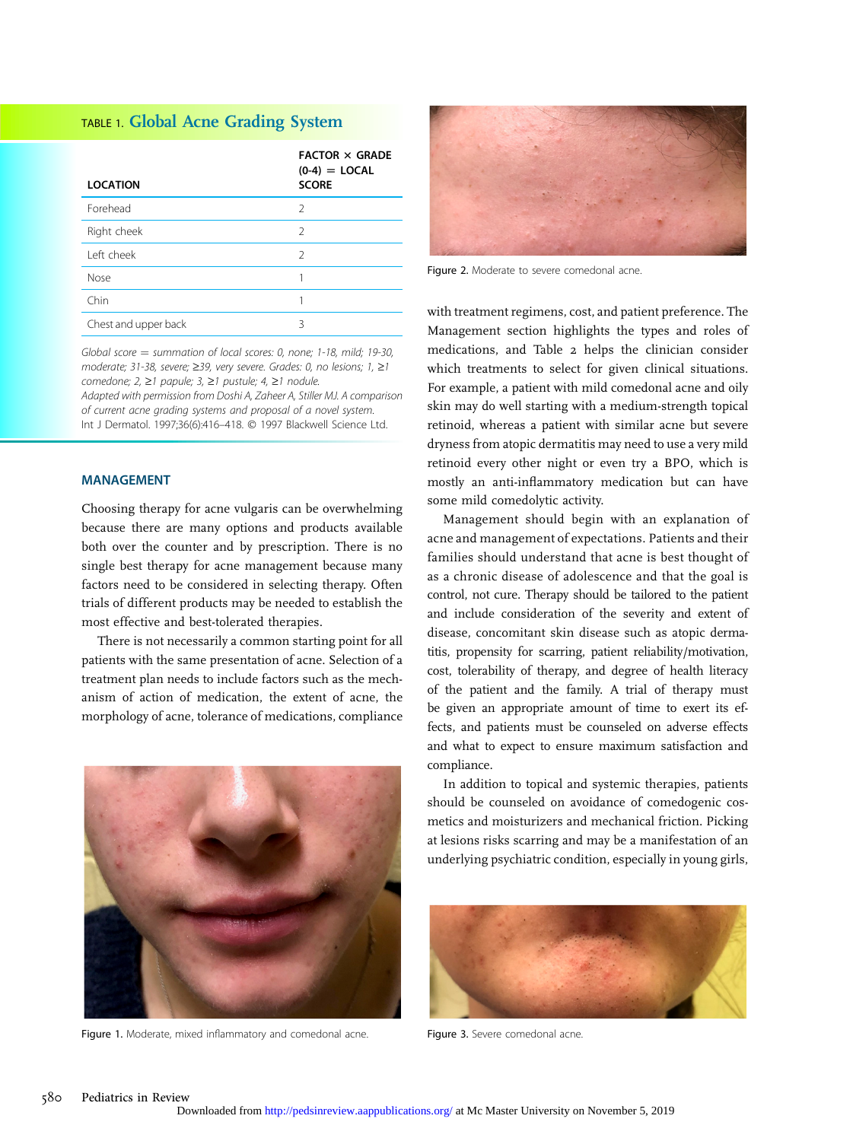## TABLE 1. Global Acne Grading System

| <b>LOCATION</b>      | <b>FACTOR × GRADE</b><br>$(0-4) =$ LOCAL<br><b>SCORE</b> |
|----------------------|----------------------------------------------------------|
| Forehead             | $\mathcal{P}$                                            |
| Right cheek          | $\mathcal{P}$                                            |
| I eft cheek          | $\mathcal{P}$                                            |
| Nose                 |                                                          |
| Chin                 |                                                          |
| Chest and upper back | ς                                                        |

Global score  $=$  summation of local scores: 0, none; 1-18, mild; 19-30, moderate; 31-38, severe;  $\geq$ 39, very severe. Grades: 0, no lesions; 1,  $\geq$ 1 comedone;  $2, \ge 1$  papule;  $3, \ge 1$  pustule;  $4, \ge 1$  nodule. Adapted with permission from Doshi A, Zaheer A, Stiller MJ. A comparison of current acne grading systems and proposal of a novel system. Int J Dermatol. 1997;36(6):416-418. © 1997 Blackwell Science Ltd.

#### MANAGEMENT

Choosing therapy for acne vulgaris can be overwhelming because there are many options and products available both over the counter and by prescription. There is no single best therapy for acne management because many factors need to be considered in selecting therapy. Often trials of different products may be needed to establish the most effective and best-tolerated therapies.

There is not necessarily a common starting point for all patients with the same presentation of acne. Selection of a treatment plan needs to include factors such as the mechanism of action of medication, the extent of acne, the morphology of acne, tolerance of medications, compliance



Figure 1. Moderate, mixed inflammatory and comedonal acne.



Figure 2. Moderate to severe comedonal acne.

with treatment regimens, cost, and patient preference. The Management section highlights the types and roles of medications, and Table 2 helps the clinician consider which treatments to select for given clinical situations. For example, a patient with mild comedonal acne and oily skin may do well starting with a medium-strength topical retinoid, whereas a patient with similar acne but severe dryness from atopic dermatitis may need to use a very mild retinoid every other night or even try a BPO, which is mostly an anti-inflammatory medication but can have some mild comedolytic activity.

Management should begin with an explanation of acne and management of expectations. Patients and their families should understand that acne is best thought of as a chronic disease of adolescence and that the goal is control, not cure. Therapy should be tailored to the patient and include consideration of the severity and extent of disease, concomitant skin disease such as atopic dermatitis, propensity for scarring, patient reliability/motivation, cost, tolerability of therapy, and degree of health literacy of the patient and the family. A trial of therapy must be given an appropriate amount of time to exert its effects, and patients must be counseled on adverse effects and what to expect to ensure maximum satisfaction and compliance.

In addition to topical and systemic therapies, patients should be counseled on avoidance of comedogenic cosmetics and moisturizers and mechanical friction. Picking at lesions risks scarring and may be a manifestation of an underlying psychiatric condition, especially in young girls,



Figure 3. Severe comedonal acne.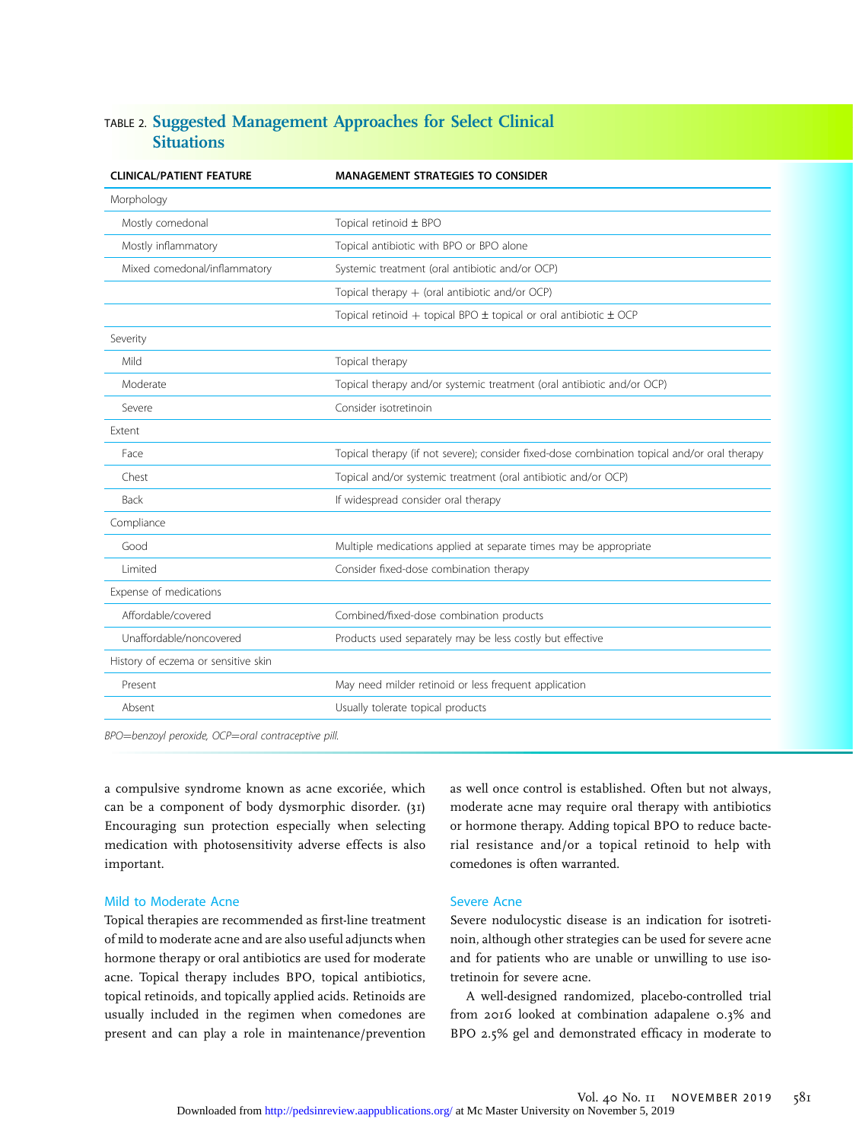### TABLE 2. Suggested Management Approaches for Select Clinical **Situations**

| <b>CLINICAL/PATIENT FEATURE</b>     | <b>MANAGEMENT STRATEGIES TO CONSIDER</b>                                                     |
|-------------------------------------|----------------------------------------------------------------------------------------------|
| Morphology                          |                                                                                              |
| Mostly comedonal                    | Topical retinoid ± BPO                                                                       |
| Mostly inflammatory                 | Topical antibiotic with BPO or BPO alone                                                     |
| Mixed comedonal/inflammatory        | Systemic treatment (oral antibiotic and/or OCP)                                              |
|                                     | Topical therapy $+$ (oral antibiotic and/or OCP)                                             |
|                                     | Topical retinoid + topical BPO $\pm$ topical or oral antibiotic $\pm$ OCP                    |
| Severity                            |                                                                                              |
| Mild                                | Topical therapy                                                                              |
| Moderate                            | Topical therapy and/or systemic treatment (oral antibiotic and/or OCP)                       |
| Severe                              | Consider isotretinoin                                                                        |
| Extent                              |                                                                                              |
| Face                                | Topical therapy (if not severe); consider fixed-dose combination topical and/or oral therapy |
| Chest                               | Topical and/or systemic treatment (oral antibiotic and/or OCP)                               |
| <b>Back</b>                         | If widespread consider oral therapy                                                          |
| Compliance                          |                                                                                              |
| Good                                | Multiple medications applied at separate times may be appropriate                            |
| Limited                             | Consider fixed-dose combination therapy                                                      |
| Expense of medications              |                                                                                              |
| Affordable/covered                  | Combined/fixed-dose combination products                                                     |
| Unaffordable/noncovered             | Products used separately may be less costly but effective                                    |
| History of eczema or sensitive skin |                                                                                              |
| Present                             | May need milder retinoid or less frequent application                                        |
| Absent                              | Usually tolerate topical products                                                            |
|                                     |                                                                                              |

BPO=benzoyl peroxide, OCP=oral contraceptive pill.

a compulsive syndrome known as acne excoriée, which can be a component of body dysmorphic disorder. (31) Encouraging sun protection especially when selecting medication with photosensitivity adverse effects is also important.

#### Mild to Moderate Acne

Topical therapies are recommended as first-line treatment of mild to moderate acne and are also useful adjuncts when hormone therapy or oral antibiotics are used for moderate acne. Topical therapy includes BPO, topical antibiotics, topical retinoids, and topically applied acids. Retinoids are usually included in the regimen when comedones are present and can play a role in maintenance/prevention

as well once control is established. Often but not always, moderate acne may require oral therapy with antibiotics or hormone therapy. Adding topical BPO to reduce bacterial resistance and/or a topical retinoid to help with comedones is often warranted.

#### Severe Acne

Severe nodulocystic disease is an indication for isotretinoin, although other strategies can be used for severe acne and for patients who are unable or unwilling to use isotretinoin for severe acne.

A well-designed randomized, placebo-controlled trial from 2016 looked at combination adapalene 0.3% and BPO 2.5% gel and demonstrated efficacy in moderate to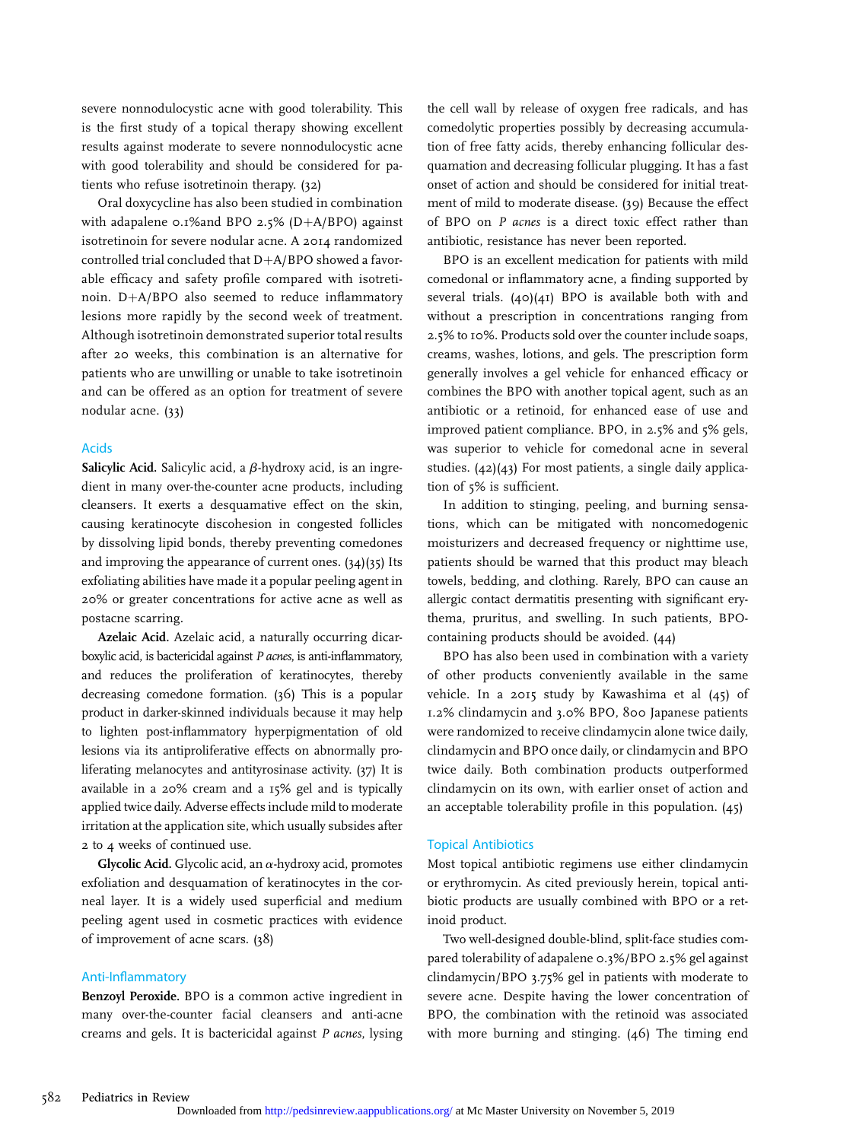severe nonnodulocystic acne with good tolerability. This is the first study of a topical therapy showing excellent results against moderate to severe nonnodulocystic acne with good tolerability and should be considered for patients who refuse isotretinoin therapy. (32)

Oral doxycycline has also been studied in combination with adapalene 0.1%and BPO 2.5% (D+A/BPO) against isotretinoin for severe nodular acne. A 2014 randomized controlled trial concluded that  $D+A/BPO$  showed a favorable efficacy and safety profile compared with isotretinoin.  $D+A/BPO$  also seemed to reduce inflammatory lesions more rapidly by the second week of treatment. Although isotretinoin demonstrated superior total results after 20 weeks, this combination is an alternative for patients who are unwilling or unable to take isotretinoin and can be offered as an option for treatment of severe nodular acne. (33)

#### Acids

Salicylic Acid. Salicylic acid, a  $\beta$ -hydroxy acid, is an ingredient in many over-the-counter acne products, including cleansers. It exerts a desquamative effect on the skin, causing keratinocyte discohesion in congested follicles by dissolving lipid bonds, thereby preventing comedones and improving the appearance of current ones. (34)(35) Its exfoliating abilities have made it a popular peeling agent in 20% or greater concentrations for active acne as well as postacne scarring.

Azelaic Acid. Azelaic acid, a naturally occurring dicarboxylic acid, is bactericidal against P acnes, is anti-inflammatory, and reduces the proliferation of keratinocytes, thereby decreasing comedone formation. (36) This is a popular product in darker-skinned individuals because it may help to lighten post-inflammatory hyperpigmentation of old lesions via its antiproliferative effects on abnormally proliferating melanocytes and antityrosinase activity. (37) It is available in a 20% cream and a 15% gel and is typically applied twice daily. Adverse effects include mild to moderate irritation at the application site, which usually subsides after 2 to 4 weeks of continued use.

Glycolic Acid. Glycolic acid, an  $\alpha$ -hydroxy acid, promotes exfoliation and desquamation of keratinocytes in the corneal layer. It is a widely used superficial and medium peeling agent used in cosmetic practices with evidence of improvement of acne scars. (38)

#### Anti-Inflammatory

Benzoyl Peroxide. BPO is a common active ingredient in many over-the-counter facial cleansers and anti-acne creams and gels. It is bactericidal against P acnes, lysing the cell wall by release of oxygen free radicals, and has comedolytic properties possibly by decreasing accumulation of free fatty acids, thereby enhancing follicular desquamation and decreasing follicular plugging. It has a fast onset of action and should be considered for initial treatment of mild to moderate disease. (39) Because the effect of BPO on P acnes is a direct toxic effect rather than antibiotic, resistance has never been reported.

BPO is an excellent medication for patients with mild comedonal or inflammatory acne, a finding supported by several trials. (40)(41) BPO is available both with and without a prescription in concentrations ranging from 2.5% to 10%. Products sold over the counter include soaps, creams, washes, lotions, and gels. The prescription form generally involves a gel vehicle for enhanced efficacy or combines the BPO with another topical agent, such as an antibiotic or a retinoid, for enhanced ease of use and improved patient compliance. BPO, in 2.5% and 5% gels, was superior to vehicle for comedonal acne in several studies. (42)(43) For most patients, a single daily application of 5% is sufficient.

In addition to stinging, peeling, and burning sensations, which can be mitigated with noncomedogenic moisturizers and decreased frequency or nighttime use, patients should be warned that this product may bleach towels, bedding, and clothing. Rarely, BPO can cause an allergic contact dermatitis presenting with significant erythema, pruritus, and swelling. In such patients, BPOcontaining products should be avoided. (44)

BPO has also been used in combination with a variety of other products conveniently available in the same vehicle. In a 2015 study by Kawashima et al (45) of 1.2% clindamycin and 3.0% BPO, 800 Japanese patients were randomized to receive clindamycin alone twice daily, clindamycin and BPO once daily, or clindamycin and BPO twice daily. Both combination products outperformed clindamycin on its own, with earlier onset of action and an acceptable tolerability profile in this population. (45)

#### Topical Antibiotics

Most topical antibiotic regimens use either clindamycin or erythromycin. As cited previously herein, topical antibiotic products are usually combined with BPO or a retinoid product.

Two well-designed double-blind, split-face studies compared tolerability of adapalene 0.3%/BPO 2.5% gel against clindamycin/BPO 3.75% gel in patients with moderate to severe acne. Despite having the lower concentration of BPO, the combination with the retinoid was associated with more burning and stinging. (46) The timing end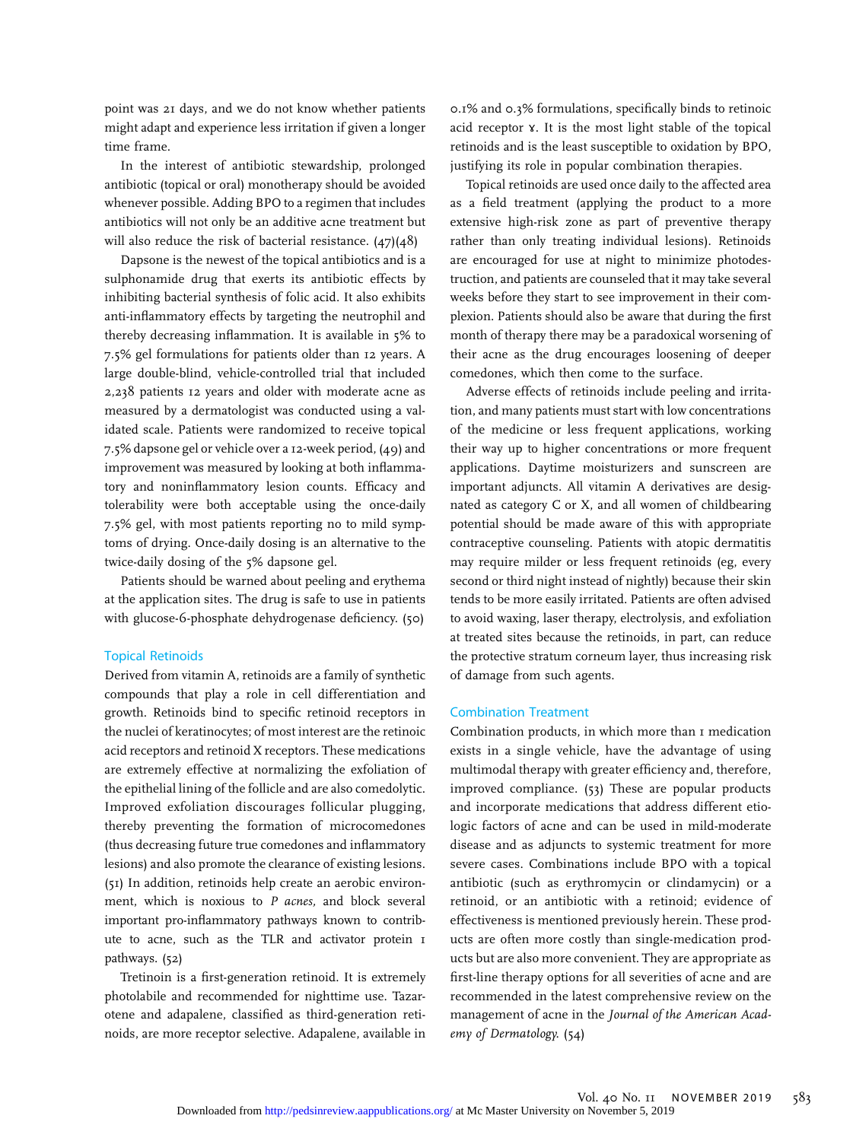point was 21 days, and we do not know whether patients might adapt and experience less irritation if given a longer time frame.

In the interest of antibiotic stewardship, prolonged antibiotic (topical or oral) monotherapy should be avoided whenever possible. Adding BPO to a regimen that includes antibiotics will not only be an additive acne treatment but will also reduce the risk of bacterial resistance. (47)(48)

Dapsone is the newest of the topical antibiotics and is a sulphonamide drug that exerts its antibiotic effects by inhibiting bacterial synthesis of folic acid. It also exhibits anti-inflammatory effects by targeting the neutrophil and thereby decreasing inflammation. It is available in 5% to 7.5% gel formulations for patients older than 12 years. A large double-blind, vehicle-controlled trial that included 2,238 patients 12 years and older with moderate acne as measured by a dermatologist was conducted using a validated scale. Patients were randomized to receive topical 7.5% dapsone gel or vehicle over a 12-week period, (49) and improvement was measured by looking at both inflammatory and noninflammatory lesion counts. Efficacy and tolerability were both acceptable using the once-daily 7.5% gel, with most patients reporting no to mild symptoms of drying. Once-daily dosing is an alternative to the twice-daily dosing of the 5% dapsone gel.

Patients should be warned about peeling and erythema at the application sites. The drug is safe to use in patients with glucose-6-phosphate dehydrogenase deficiency. (50)

#### Topical Retinoids

Derived from vitamin A, retinoids are a family of synthetic compounds that play a role in cell differentiation and growth. Retinoids bind to specific retinoid receptors in the nuclei of keratinocytes; of most interest are the retinoic acid receptors and retinoid X receptors. These medications are extremely effective at normalizing the exfoliation of the epithelial lining of the follicle and are also comedolytic. Improved exfoliation discourages follicular plugging, thereby preventing the formation of microcomedones (thus decreasing future true comedones and inflammatory lesions) and also promote the clearance of existing lesions. (51) In addition, retinoids help create an aerobic environment, which is noxious to  $P$  acnes, and block several important pro-inflammatory pathways known to contribute to acne, such as the TLR and activator protein 1 pathways. (52)

Tretinoin is a first-generation retinoid. It is extremely photolabile and recommended for nighttime use. Tazarotene and adapalene, classified as third-generation retinoids, are more receptor selective. Adapalene, available in

0.1% and 0.3% formulations, specifically binds to retinoic acid receptor ɤ. It is the most light stable of the topical retinoids and is the least susceptible to oxidation by BPO, justifying its role in popular combination therapies.

Topical retinoids are used once daily to the affected area as a field treatment (applying the product to a more extensive high-risk zone as part of preventive therapy rather than only treating individual lesions). Retinoids are encouraged for use at night to minimize photodestruction, and patients are counseled that it may take several weeks before they start to see improvement in their complexion. Patients should also be aware that during the first month of therapy there may be a paradoxical worsening of their acne as the drug encourages loosening of deeper comedones, which then come to the surface.

Adverse effects of retinoids include peeling and irritation, and many patients must start with low concentrations of the medicine or less frequent applications, working their way up to higher concentrations or more frequent applications. Daytime moisturizers and sunscreen are important adjuncts. All vitamin A derivatives are designated as category C or X, and all women of childbearing potential should be made aware of this with appropriate contraceptive counseling. Patients with atopic dermatitis may require milder or less frequent retinoids (eg, every second or third night instead of nightly) because their skin tends to be more easily irritated. Patients are often advised to avoid waxing, laser therapy, electrolysis, and exfoliation at treated sites because the retinoids, in part, can reduce the protective stratum corneum layer, thus increasing risk of damage from such agents.

#### Combination Treatment

Combination products, in which more than 1 medication exists in a single vehicle, have the advantage of using multimodal therapy with greater efficiency and, therefore, improved compliance. (53) These are popular products and incorporate medications that address different etiologic factors of acne and can be used in mild-moderate disease and as adjuncts to systemic treatment for more severe cases. Combinations include BPO with a topical antibiotic (such as erythromycin or clindamycin) or a retinoid, or an antibiotic with a retinoid; evidence of effectiveness is mentioned previously herein. These products are often more costly than single-medication products but are also more convenient. They are appropriate as first-line therapy options for all severities of acne and are recommended in the latest comprehensive review on the management of acne in the Journal of the American Academy of Dermatology. (54)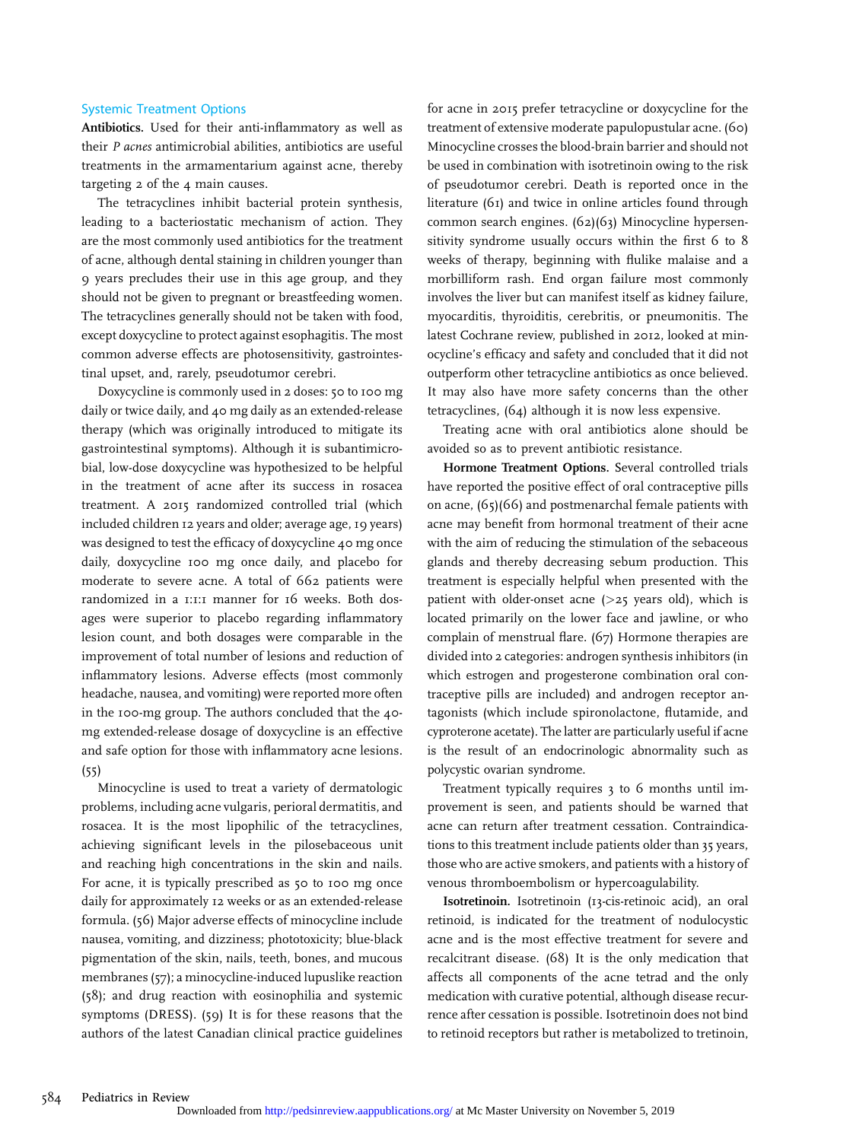#### Systemic Treatment Options

Antibiotics. Used for their anti-inflammatory as well as their P acnes antimicrobial abilities, antibiotics are useful treatments in the armamentarium against acne, thereby targeting 2 of the 4 main causes.

The tetracyclines inhibit bacterial protein synthesis, leading to a bacteriostatic mechanism of action. They are the most commonly used antibiotics for the treatment of acne, although dental staining in children younger than 9 years precludes their use in this age group, and they should not be given to pregnant or breastfeeding women. The tetracyclines generally should not be taken with food, except doxycycline to protect against esophagitis. The most common adverse effects are photosensitivity, gastrointestinal upset, and, rarely, pseudotumor cerebri.

Doxycycline is commonly used in 2 doses: 50 to 100 mg daily or twice daily, and 40 mg daily as an extended-release therapy (which was originally introduced to mitigate its gastrointestinal symptoms). Although it is subantimicrobial, low-dose doxycycline was hypothesized to be helpful in the treatment of acne after its success in rosacea treatment. A 2015 randomized controlled trial (which included children 12 years and older; average age, 19 years) was designed to test the efficacy of doxycycline 40 mg once daily, doxycycline 100 mg once daily, and placebo for moderate to severe acne. A total of 662 patients were randomized in a 1:1:1 manner for 16 weeks. Both dosages were superior to placebo regarding inflammatory lesion count, and both dosages were comparable in the improvement of total number of lesions and reduction of inflammatory lesions. Adverse effects (most commonly headache, nausea, and vomiting) were reported more often in the 100-mg group. The authors concluded that the 40 mg extended-release dosage of doxycycline is an effective and safe option for those with inflammatory acne lesions. (55)

Minocycline is used to treat a variety of dermatologic problems, including acne vulgaris, perioral dermatitis, and rosacea. It is the most lipophilic of the tetracyclines, achieving significant levels in the pilosebaceous unit and reaching high concentrations in the skin and nails. For acne, it is typically prescribed as 50 to 100 mg once daily for approximately 12 weeks or as an extended-release formula. (56) Major adverse effects of minocycline include nausea, vomiting, and dizziness; phototoxicity; blue-black pigmentation of the skin, nails, teeth, bones, and mucous membranes (57); a minocycline-induced lupuslike reaction (58); and drug reaction with eosinophilia and systemic symptoms (DRESS). (59) It is for these reasons that the authors of the latest Canadian clinical practice guidelines for acne in 2015 prefer tetracycline or doxycycline for the treatment of extensive moderate papulopustular acne. (60) Minocycline crosses the blood-brain barrier and should not be used in combination with isotretinoin owing to the risk of pseudotumor cerebri. Death is reported once in the literature (61) and twice in online articles found through common search engines. (62)(63) Minocycline hypersensitivity syndrome usually occurs within the first 6 to 8 weeks of therapy, beginning with flulike malaise and a morbilliform rash. End organ failure most commonly involves the liver but can manifest itself as kidney failure, myocarditis, thyroiditis, cerebritis, or pneumonitis. The latest Cochrane review, published in 2012, looked at minocycline's efficacy and safety and concluded that it did not outperform other tetracycline antibiotics as once believed. It may also have more safety concerns than the other tetracyclines, (64) although it is now less expensive.

Treating acne with oral antibiotics alone should be avoided so as to prevent antibiotic resistance.

Hormone Treatment Options. Several controlled trials have reported the positive effect of oral contraceptive pills on acne, (65)(66) and postmenarchal female patients with acne may benefit from hormonal treatment of their acne with the aim of reducing the stimulation of the sebaceous glands and thereby decreasing sebum production. This treatment is especially helpful when presented with the patient with older-onset acne  $(>25$  years old), which is located primarily on the lower face and jawline, or who complain of menstrual flare. (67) Hormone therapies are divided into 2 categories: androgen synthesis inhibitors (in which estrogen and progesterone combination oral contraceptive pills are included) and androgen receptor antagonists (which include spironolactone, flutamide, and cyproterone acetate). The latter are particularly useful if acne is the result of an endocrinologic abnormality such as polycystic ovarian syndrome.

Treatment typically requires 3 to 6 months until improvement is seen, and patients should be warned that acne can return after treatment cessation. Contraindications to this treatment include patients older than 35 years, those who are active smokers, and patients with a history of venous thromboembolism or hypercoagulability.

Isotretinoin. Isotretinoin (13-cis-retinoic acid), an oral retinoid, is indicated for the treatment of nodulocystic acne and is the most effective treatment for severe and recalcitrant disease. (68) It is the only medication that affects all components of the acne tetrad and the only medication with curative potential, although disease recurrence after cessation is possible. Isotretinoin does not bind to retinoid receptors but rather is metabolized to tretinoin,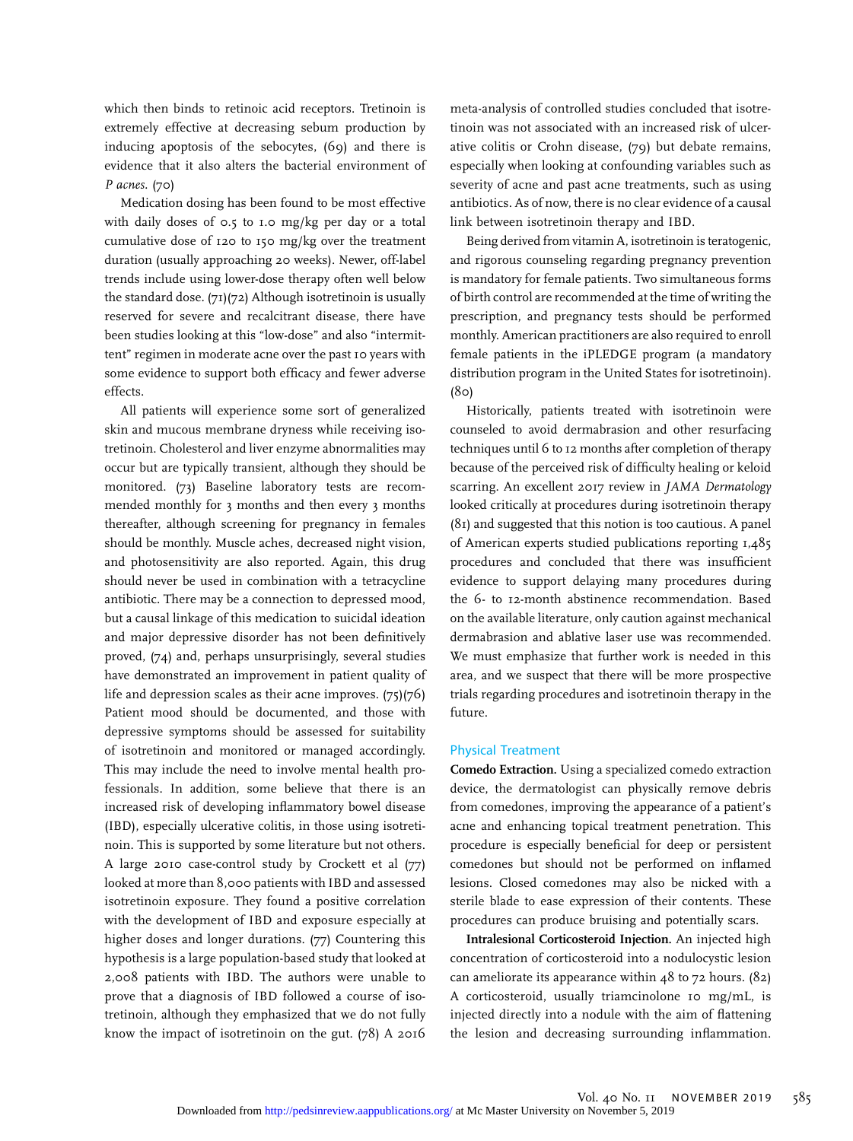which then binds to retinoic acid receptors. Tretinoin is extremely effective at decreasing sebum production by inducing apoptosis of the sebocytes, (69) and there is evidence that it also alters the bacterial environment of P acnes. (70)

Medication dosing has been found to be most effective with daily doses of 0.5 to 1.0 mg/kg per day or a total cumulative dose of 120 to 150 mg/kg over the treatment duration (usually approaching 20 weeks). Newer, off-label trends include using lower-dose therapy often well below the standard dose. (71)(72) Although isotretinoin is usually reserved for severe and recalcitrant disease, there have been studies looking at this "low-dose" and also "intermittent" regimen in moderate acne over the past 10 years with some evidence to support both efficacy and fewer adverse effects.

All patients will experience some sort of generalized skin and mucous membrane dryness while receiving isotretinoin. Cholesterol and liver enzyme abnormalities may occur but are typically transient, although they should be monitored. (73) Baseline laboratory tests are recommended monthly for 3 months and then every 3 months thereafter, although screening for pregnancy in females should be monthly. Muscle aches, decreased night vision, and photosensitivity are also reported. Again, this drug should never be used in combination with a tetracycline antibiotic. There may be a connection to depressed mood, but a causal linkage of this medication to suicidal ideation and major depressive disorder has not been definitively proved, (74) and, perhaps unsurprisingly, several studies have demonstrated an improvement in patient quality of life and depression scales as their acne improves. (75)(76) Patient mood should be documented, and those with depressive symptoms should be assessed for suitability of isotretinoin and monitored or managed accordingly. This may include the need to involve mental health professionals. In addition, some believe that there is an increased risk of developing inflammatory bowel disease (IBD), especially ulcerative colitis, in those using isotretinoin. This is supported by some literature but not others. A large 2010 case-control study by Crockett et al (77) looked at more than 8,000 patients with IBD and assessed isotretinoin exposure. They found a positive correlation with the development of IBD and exposure especially at higher doses and longer durations. (77) Countering this hypothesis is a large population-based study that looked at 2,008 patients with IBD. The authors were unable to prove that a diagnosis of IBD followed a course of isotretinoin, although they emphasized that we do not fully know the impact of isotretinoin on the gut. (78) A 2016

meta-analysis of controlled studies concluded that isotretinoin was not associated with an increased risk of ulcerative colitis or Crohn disease, (79) but debate remains, especially when looking at confounding variables such as severity of acne and past acne treatments, such as using antibiotics. As of now, there is no clear evidence of a causal link between isotretinoin therapy and IBD.

Being derived from vitamin A, isotretinoin is teratogenic, and rigorous counseling regarding pregnancy prevention is mandatory for female patients. Two simultaneous forms of birth control are recommended at the time of writing the prescription, and pregnancy tests should be performed monthly. American practitioners are also required to enroll female patients in the iPLEDGE program (a mandatory distribution program in the United States for isotretinoin). (80)

Historically, patients treated with isotretinoin were counseled to avoid dermabrasion and other resurfacing techniques until 6 to 12 months after completion of therapy because of the perceived risk of difficulty healing or keloid scarring. An excellent 2017 review in JAMA Dermatology looked critically at procedures during isotretinoin therapy (81) and suggested that this notion is too cautious. A panel of American experts studied publications reporting 1,485 procedures and concluded that there was insufficient evidence to support delaying many procedures during the 6- to 12-month abstinence recommendation. Based on the available literature, only caution against mechanical dermabrasion and ablative laser use was recommended. We must emphasize that further work is needed in this area, and we suspect that there will be more prospective trials regarding procedures and isotretinoin therapy in the future.

#### Physical Treatment

Comedo Extraction. Using a specialized comedo extraction device, the dermatologist can physically remove debris from comedones, improving the appearance of a patient's acne and enhancing topical treatment penetration. This procedure is especially beneficial for deep or persistent comedones but should not be performed on inflamed lesions. Closed comedones may also be nicked with a sterile blade to ease expression of their contents. These procedures can produce bruising and potentially scars.

Intralesional Corticosteroid Injection. An injected high concentration of corticosteroid into a nodulocystic lesion can ameliorate its appearance within 48 to 72 hours. (82) A corticosteroid, usually triamcinolone 10 mg/mL, is injected directly into a nodule with the aim of flattening the lesion and decreasing surrounding inflammation.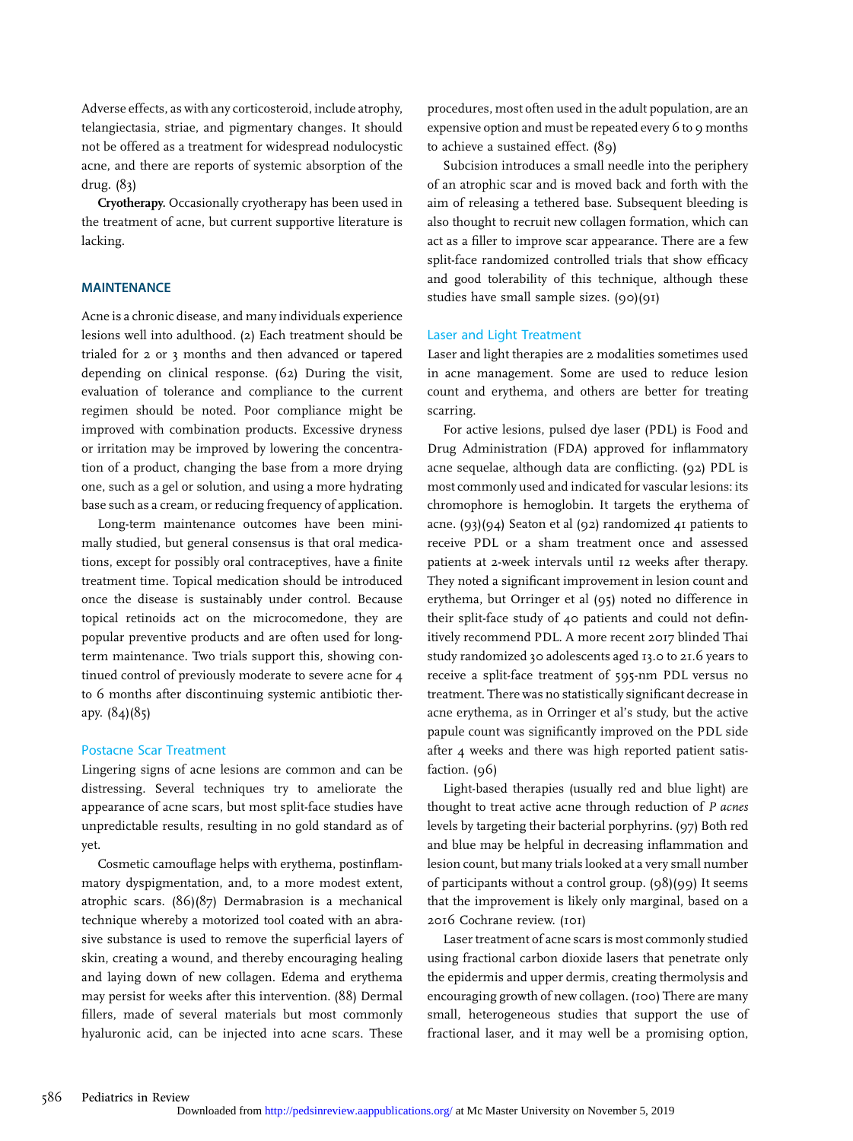Adverse effects, as with any corticosteroid, include atrophy, telangiectasia, striae, and pigmentary changes. It should not be offered as a treatment for widespread nodulocystic acne, and there are reports of systemic absorption of the drug. (83)

Cryotherapy. Occasionally cryotherapy has been used in the treatment of acne, but current supportive literature is lacking.

#### MAINTENANCE

Acne is a chronic disease, and many individuals experience lesions well into adulthood. (2) Each treatment should be trialed for 2 or 3 months and then advanced or tapered depending on clinical response. (62) During the visit, evaluation of tolerance and compliance to the current regimen should be noted. Poor compliance might be improved with combination products. Excessive dryness or irritation may be improved by lowering the concentration of a product, changing the base from a more drying one, such as a gel or solution, and using a more hydrating base such as a cream, or reducing frequency of application.

Long-term maintenance outcomes have been minimally studied, but general consensus is that oral medications, except for possibly oral contraceptives, have a finite treatment time. Topical medication should be introduced once the disease is sustainably under control. Because topical retinoids act on the microcomedone, they are popular preventive products and are often used for longterm maintenance. Two trials support this, showing continued control of previously moderate to severe acne for 4 to 6 months after discontinuing systemic antibiotic therapy. (84)(85)

#### Postacne Scar Treatment

Lingering signs of acne lesions are common and can be distressing. Several techniques try to ameliorate the appearance of acne scars, but most split-face studies have unpredictable results, resulting in no gold standard as of yet.

Cosmetic camouflage helps with erythema, postinflammatory dyspigmentation, and, to a more modest extent, atrophic scars. (86)(87) Dermabrasion is a mechanical technique whereby a motorized tool coated with an abrasive substance is used to remove the superficial layers of skin, creating a wound, and thereby encouraging healing and laying down of new collagen. Edema and erythema may persist for weeks after this intervention. (88) Dermal fillers, made of several materials but most commonly hyaluronic acid, can be injected into acne scars. These

procedures, most often used in the adult population, are an expensive option and must be repeated every 6 to 9 months to achieve a sustained effect. (89)

Subcision introduces a small needle into the periphery of an atrophic scar and is moved back and forth with the aim of releasing a tethered base. Subsequent bleeding is also thought to recruit new collagen formation, which can act as a filler to improve scar appearance. There are a few split-face randomized controlled trials that show efficacy and good tolerability of this technique, although these studies have small sample sizes. (90)(91)

#### Laser and Light Treatment

Laser and light therapies are 2 modalities sometimes used in acne management. Some are used to reduce lesion count and erythema, and others are better for treating scarring.

For active lesions, pulsed dye laser (PDL) is Food and Drug Administration (FDA) approved for inflammatory acne sequelae, although data are conflicting. (92) PDL is most commonly used and indicated for vascular lesions: its chromophore is hemoglobin. It targets the erythema of acne. (93)(94) Seaton et al (92) randomized 41 patients to receive PDL or a sham treatment once and assessed patients at 2-week intervals until 12 weeks after therapy. They noted a significant improvement in lesion count and erythema, but Orringer et al (95) noted no difference in their split-face study of 40 patients and could not definitively recommend PDL. A more recent 2017 blinded Thai study randomized 30 adolescents aged 13.0 to 21.6 years to receive a split-face treatment of 595-nm PDL versus no treatment. There was no statistically significant decrease in acne erythema, as in Orringer et al's study, but the active papule count was significantly improved on the PDL side after 4 weeks and there was high reported patient satisfaction. (96)

Light-based therapies (usually red and blue light) are thought to treat active acne through reduction of P acnes levels by targeting their bacterial porphyrins. (97) Both red and blue may be helpful in decreasing inflammation and lesion count, but many trials looked at a very small number of participants without a control group. (98)(99) It seems that the improvement is likely only marginal, based on a 2016 Cochrane review. (101)

Laser treatment of acne scars is most commonly studied using fractional carbon dioxide lasers that penetrate only the epidermis and upper dermis, creating thermolysis and encouraging growth of new collagen. (100) There are many small, heterogeneous studies that support the use of fractional laser, and it may well be a promising option,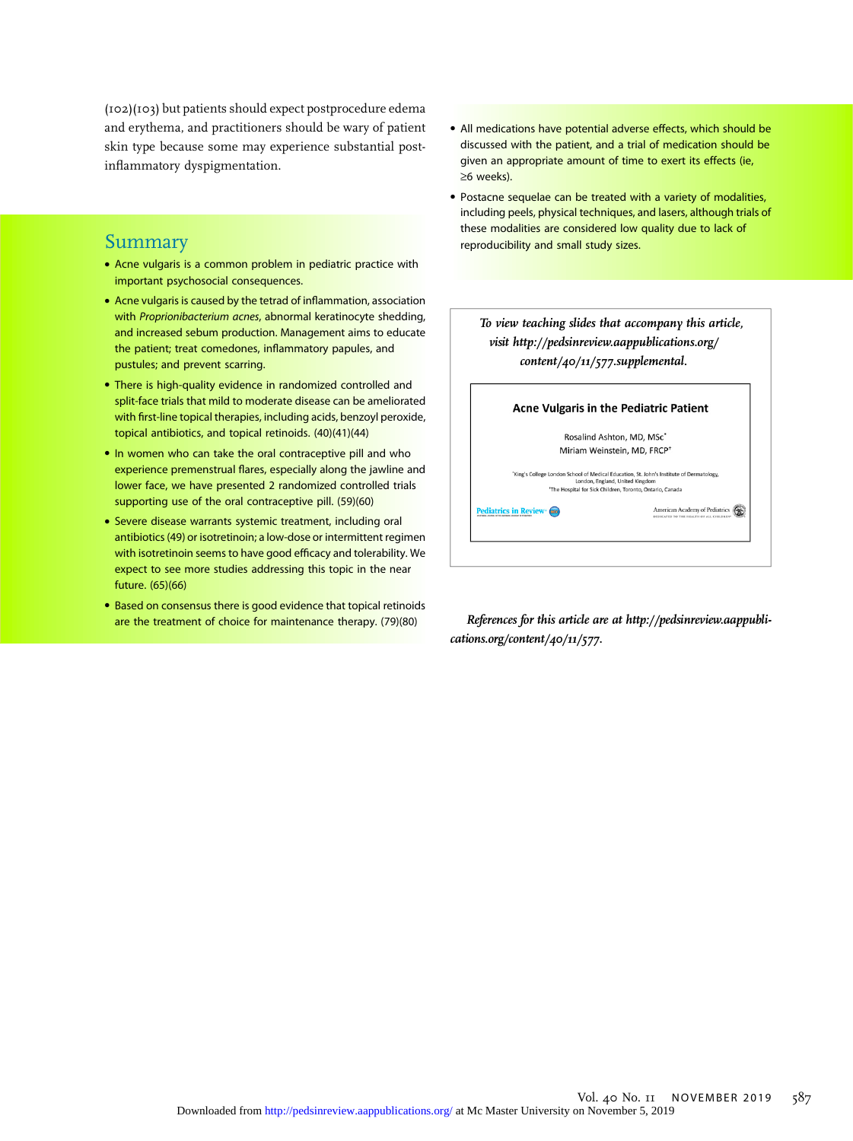(102)(103) but patients should expect postprocedure edema and erythema, and practitioners should be wary of patient skin type because some may experience substantial postinflammatory dyspigmentation.

# Summary

- Acne vulgaris is a common problem in pediatric practice with important psychosocial consequences.
- Acne vulgaris is caused by the tetrad of inflammation, association with Proprionibacterium acnes, abnormal keratinocyte shedding, and increased sebum production. Management aims to educate the patient; treat comedones, inflammatory papules, and pustules; and prevent scarring.
- There is high-quality evidence in randomized controlled and split-face trials that mild to moderate disease can be ameliorated with first-line topical therapies, including acids, benzoyl peroxide, topical antibiotics, and topical retinoids. (40)(41)(44)
- In women who can take the oral contraceptive pill and who experience premenstrual flares, especially along the jawline and lower face, we have presented 2 randomized controlled trials supporting use of the oral contraceptive pill. (59)(60)
- Severe disease warrants systemic treatment, including oral antibiotics (49) or isotretinoin; a low-dose or intermittent regimen with isotretinoin seems to have good efficacy and tolerability. We expect to see more studies addressing this topic in the near future. (65)(66)
- Based on consensus there is good evidence that topical retinoids are the treatment of choice for maintenance therapy. (79)(80)
- All medications have potential adverse effects, which should be discussed with the patient, and a trial of medication should be given an appropriate amount of time to exert its effects (ie, ≥6 weeks).
- Postacne sequelae can be treated with a variety of modalities, including peels, physical techniques, and lasers, although trials of these modalities are considered low quality due to lack of reproducibility and small study sizes.

|                             | visit http://pedsinreview.aappublications.org/<br>content/40/11/577.supplemental.                                                                                                                    |
|-----------------------------|------------------------------------------------------------------------------------------------------------------------------------------------------------------------------------------------------|
|                             | <b>Acne Vulgaris in the Pediatric Patient</b>                                                                                                                                                        |
|                             | Rosalind Ashton, MD, MSc*                                                                                                                                                                            |
|                             | Miriam Weinstein, MD, FRCP <sup>+</sup>                                                                                                                                                              |
|                             | "King's College London School of Medical Education. St. John's Institute of Dermatology.<br>London, England, United Kingdom<br><sup>*</sup> The Hospital for Sick Children, Toronto, Ontario, Canada |
| <b>Pediatrics in Review</b> | American Academy of Pediatrics<br>DEDICATED TO THE HEALTH OF ALL CHILDERS                                                                                                                            |

References for this article are at [http://pedsinreview.aappubli](http://pedsinreview.aappublications.org/content/40/11/577)[cations.org/content/40/11/577](http://pedsinreview.aappublications.org/content/40/11/577).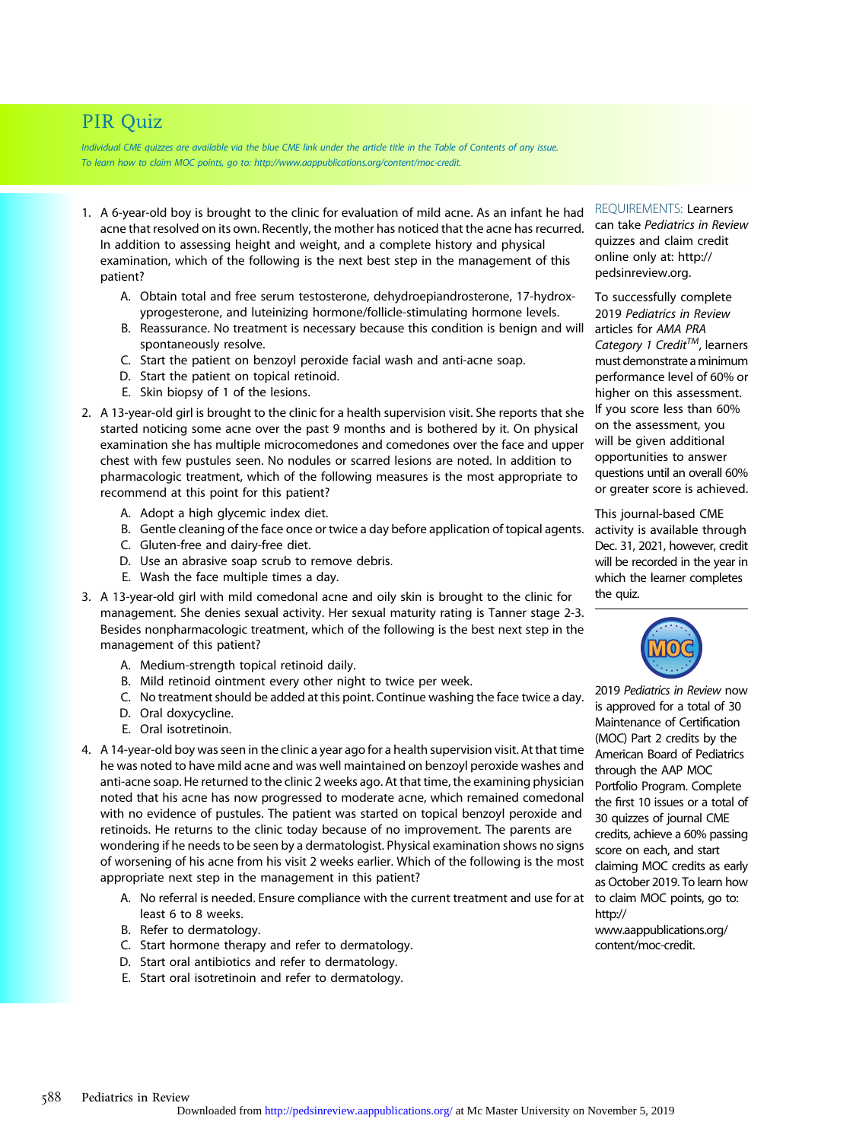# PIR Quiz

Individual CME quizzes are available via the blue CME link under the article title in the Table of Contents of any issue. To learn how to claim MOC points, go to: [http://www.aappublications.org/content/moc-credit.](http://www.aappublications.org/content/moc-credit)

- 1. A 6-year-old boy is brought to the clinic for evaluation of mild acne. As an infant he had acne that resolved on its own. Recently, the mother has noticed that the acne has recurred. In addition to assessing height and weight, and a complete history and physical examination, which of the following is the next best step in the management of this patient?
	- A. Obtain total and free serum testosterone, dehydroepiandrosterone, 17-hydroxyprogesterone, and luteinizing hormone/follicle-stimulating hormone levels.
	- B. Reassurance. No treatment is necessary because this condition is benign and will spontaneously resolve.
	- C. Start the patient on benzoyl peroxide facial wash and anti-acne soap.
	- D. Start the patient on topical retinoid.
	- E. Skin biopsy of 1 of the lesions.
- 2. A 13-year-old girl is brought to the clinic for a health supervision visit. She reports that she started noticing some acne over the past 9 months and is bothered by it. On physical examination she has multiple microcomedones and comedones over the face and upper chest with few pustules seen. No nodules or scarred lesions are noted. In addition to pharmacologic treatment, which of the following measures is the most appropriate to recommend at this point for this patient?
	- A. Adopt a high glycemic index diet.
	- B. Gentle cleaning of the face once or twice a day before application of topical agents.
	- C. Gluten-free and dairy-free diet.
	- D. Use an abrasive soap scrub to remove debris.
	- E. Wash the face multiple times a day.
- 3. A 13-year-old girl with mild comedonal acne and oily skin is brought to the clinic for management. She denies sexual activity. Her sexual maturity rating is Tanner stage 2-3. Besides nonpharmacologic treatment, which of the following is the best next step in the management of this patient?
	- A. Medium-strength topical retinoid daily.
	- B. Mild retinoid ointment every other night to twice per week.
	- C. No treatment should be added at this point. Continue washing the face twice a day.
	- D. Oral doxycycline.
	- E. Oral isotretinoin.
- 4. A 14-year-old boy was seen in the clinic a year ago for a health supervision visit. At that time he was noted to have mild acne and was well maintained on benzoyl peroxide washes and anti-acne soap. He returned to the clinic 2 weeks ago. At that time, the examining physician noted that his acne has now progressed to moderate acne, which remained comedonal with no evidence of pustules. The patient was started on topical benzoyl peroxide and retinoids. He returns to the clinic today because of no improvement. The parents are wondering if he needs to be seen by a dermatologist. Physical examination shows no signs of worsening of his acne from his visit 2 weeks earlier. Which of the following is the most appropriate next step in the management in this patient?
	- A. No referral is needed. Ensure compliance with the current treatment and use for at least 6 to 8 weeks.
	- B. Refer to dermatology.
	- C. Start hormone therapy and refer to dermatology.
	- D. Start oral antibiotics and refer to dermatology.
	- E. Start oral isotretinoin and refer to dermatology.

REQUIREMENTS: Learners can take Pediatrics in Review quizzes and claim credit online only at: [http://](http://pedsinreview.org) [pedsinreview.org](http://pedsinreview.org).

To successfully complete 2019 Pediatrics in Review articles for AMA PRA Category 1 Credit<sup>TM</sup>, learners must demonstrate aminimum performance level of 60% or higher on this assessment. If you score less than 60% on the assessment, you will be given additional opportunities to answer questions until an overall 60% or greater score is achieved.

This journal-based CME activity is available through Dec. 31, 2021, however, credit will be recorded in the year in which the learner completes the quiz.



2019 Pediatrics in Review now is approved for a total of 30 Maintenance of Certification (MOC) Part 2 credits by the American Board of Pediatrics through the AAP MOC Portfolio Program. Complete the first 10 issues or a total of 30 quizzes of journal CME credits, achieve a 60% passing score on each, and start claiming MOC credits as early as October 2019. To learn how to claim MOC points, go to: [http://](http://www.aappublications.org/content/moc-credit) [www.aappublications.org/](http://www.aappublications.org/content/moc-credit) [content/moc-credit](http://www.aappublications.org/content/moc-credit).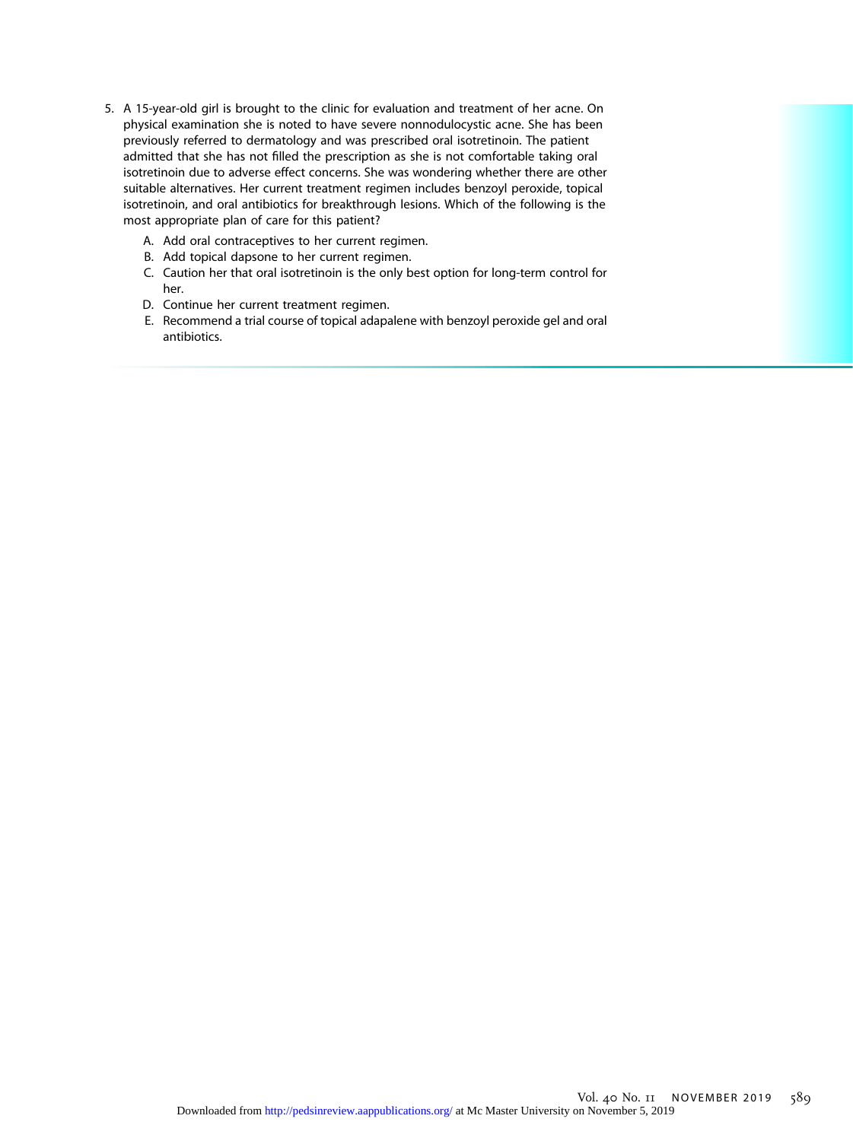- 5. A 15-year-old girl is brought to the clinic for evaluation and treatment of her acne. On physical examination she is noted to have severe nonnodulocystic acne. She has been previously referred to dermatology and was prescribed oral isotretinoin. The patient admitted that she has not filled the prescription as she is not comfortable taking oral isotretinoin due to adverse effect concerns. She was wondering whether there are other suitable alternatives. Her current treatment regimen includes benzoyl peroxide, topical isotretinoin, and oral antibiotics for breakthrough lesions. Which of the following is the most appropriate plan of care for this patient?
	- A. Add oral contraceptives to her current regimen.
	- B. Add topical dapsone to her current regimen.
	- C. Caution her that oral isotretinoin is the only best option for long-term control for her.
	- D. Continue her current treatment regimen.
	- E. Recommend a trial course of topical adapalene with benzoyl peroxide gel and oral antibiotics.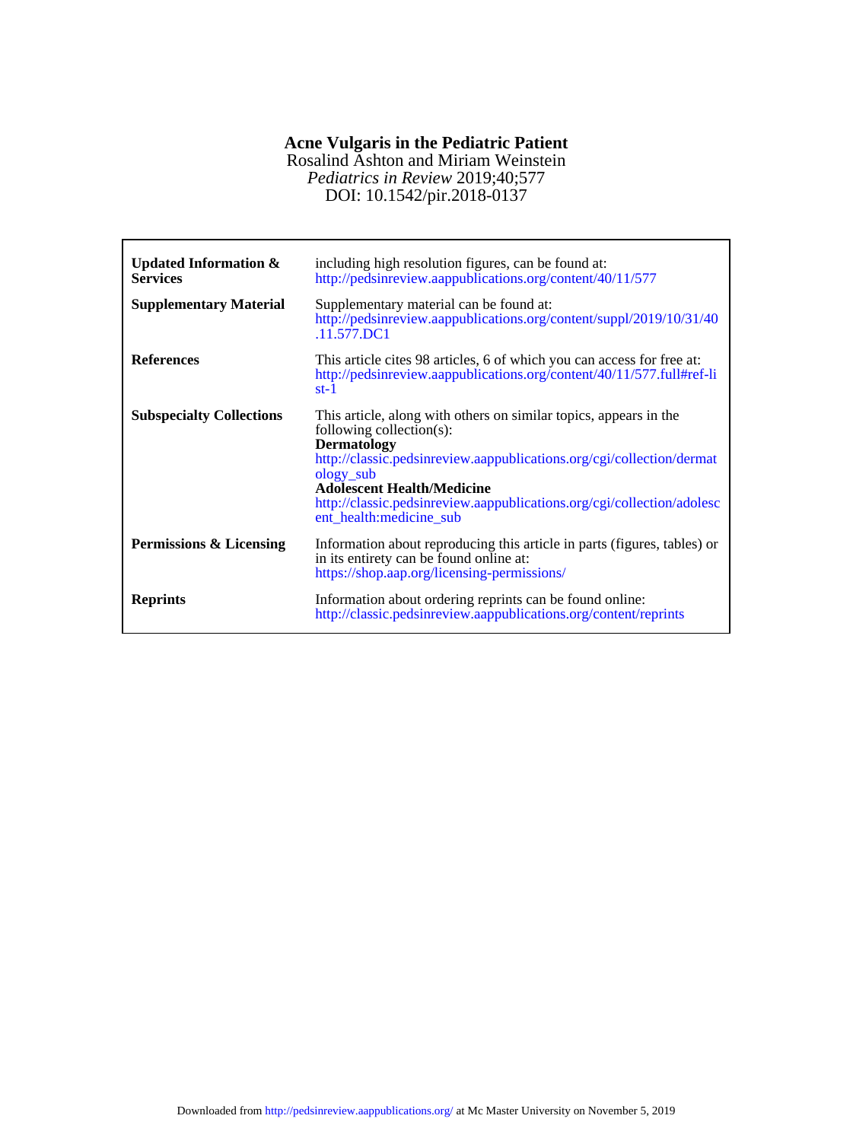## **Acne Vulgaris in the Pediatric Patient**

DOI: 10.1542/pir.2018-0137 *Pediatrics in Review* 2019;40;577 Rosalind Ashton and Miriam Weinstein

| <b>Updated Information &amp;</b><br><b>Services</b><br><b>Supplementary Material</b> | including high resolution figures, can be found at:<br>http://pedsinreview.aappublications.org/content/40/11/577<br>Supplementary material can be found at:<br>http://pedsinreview.aappublications.org/content/suppl/2019/10/31/40<br>.11.577.DC1                                                                                                   |
|--------------------------------------------------------------------------------------|-----------------------------------------------------------------------------------------------------------------------------------------------------------------------------------------------------------------------------------------------------------------------------------------------------------------------------------------------------|
| <b>References</b>                                                                    | This article cites 98 articles, 6 of which you can access for free at:<br>http://pedsinreview.aappublications.org/content/40/11/577.full#ref-li<br>$st-1$                                                                                                                                                                                           |
| <b>Subspecialty Collections</b>                                                      | This article, along with others on similar topics, appears in the<br>following collection(s):<br><b>Dermatology</b><br>http://classic.pedsinreview.aappublications.org/cgi/collection/dermat<br>ology_sub<br><b>Adolescent Health/Medicine</b><br>http://classic.pedsinreview.aappublications.org/cgi/collection/adolesc<br>ent_health:medicine_sub |
| Permissions & Licensing                                                              | Information about reproducing this article in parts (figures, tables) or<br>in its entirety can be found online at:<br>https://shop.aap.org/licensing-permissions/                                                                                                                                                                                  |
| <b>Reprints</b>                                                                      | Information about ordering reprints can be found online:<br>http://classic.pedsinreview.aappublications.org/content/reprints                                                                                                                                                                                                                        |